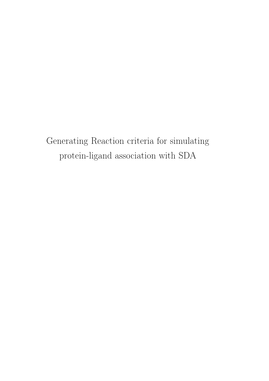Generating Reaction criteria for simulating protein-ligand association with SDA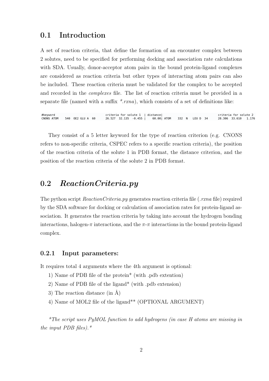## 0.1 Introduction

A set of reaction criteria, that define the formation of an encounter complex between 2 solutes, need to be specified for performing docking and association rate calculations with SDA. Usually, donor-acceptor atom pairs in the bound protein-ligand complexes are considered as reaction criteria but other types of interacting atom pairs can also be included. These reaction criteria must be validated for the complex to be accepted and recorded in the complexes file. The list of reaction criteria must be provided in a separate file (named with a suffix  $*$ .rxna), which consists of a set of definitions like:

#keyword criteria for solute 1 | distance criteria for solute 2 26.527 32.135 -0.455 CNONS ATOM 540 OF2 GLU A 60 60.00 ATOM  $332 N$  $IFII D 34$ 28, 306 33, 610 1.176

They consist of a 5 letter keyword for the type of reaction criterion (e.g. CNONS refers to non-specific criteria, CSPEC refers to a specific reaction criteria), the position of the reaction criteria of the solute 1 in PDB format, the distance criterion, and the position of the reaction criteria of the solute 2 in PDB format.

# 0.2 ReactionCriteria.py

The python script  $ReactionCriterion.py$  generates reaction criteria file (*rxna* file) required by the SDA software for docking or calculation of association rates for protein-ligand association. It generates the reaction criteria by taking into account the hydrogen bonding interactions, halogen-π interactions, and the  $\pi$ -π interactions in the bound protein-ligand complex.

### 0.2.1 Input parameters:

It requires total 4 arguments where the 4th argument is optional:

- 1) Name of PDB file of the protein\* (with .pdb extention)
- 2) Name of PDB file of the ligand\* (with .pdb extension)
- 3) The reaction distance (in Å)
- 4) Name of MOL2 file of the ligand\*\* (OPTIONAL ARGUMENT)

\*The script uses PyMOL function to add hydrogens (in case H atoms are missing in the input PDB files).  $*$